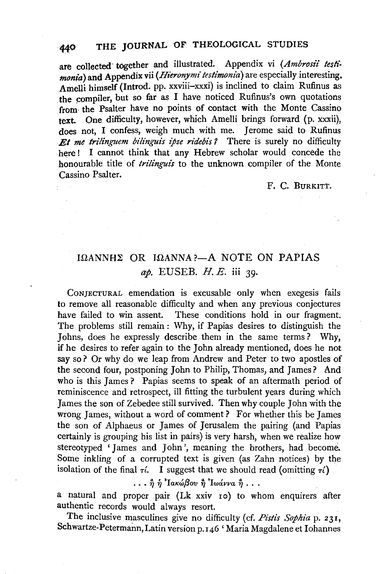# 440 THE JOURNAL OF THEOLOGICAL STUDIES

are collected together and illustrated. Appendix vi (Ambrosii testi*monia*) and Appendix vii *(Hieronymi testimonia*) are especially interesting. Amelli himself (Introd. pp. xxviii-xxxi) is inclined to claim Rufinus as the compiler, but so far as I have noticed Rufinus's own quotations from- the Psalter have no points of contact with the Monte Cassino text. One difficulty, however, which Amelli brings forward (p. xxxii), does not, I confess, weigh much with me. Jerome said to Rufinus *Et me trilinguem bilinguis ipse ridebis ?* There is surely no difficulty here! I cannot think that any Hebrew scholar would concede the honourable title of *trilinguis* to the unknown compiler of the Monte Cassino Psalter.

#### F. c. BURKITT.

## $I\Omega$ ANNH $\Sigma$  OR  $I\Omega$ ANNA ?- A NOTE ON PAPIAS *ap.* EUSEB. H. E. iii 39·

CoNJECTURAL emendation is excusable only when exegesis fails to remove all reasonable difficulty and when any previous conjectures have failed to win assent. These conditions hold in our fragment. The problems still remain : Why, if Papias desires to distinguish the Johns, does he expressly describe them in the same terms? Why, if he desires to refer again to the John already mentioned, does he not say so? Or why do we leap from Andrew and Peter to two apostles of the second four, postponing John to Philip, Thomas, and James? And who is this James? Papias seems to speak of an aftermath period of reminiscence and retrospect, ill fitting the turbulent years during which James the son of Zebedee still survived. Then why couple John with the wrong James, without a word of comment? For whether this be James the son of Alphaeus or James of Jerusalem the pairing (and Papias certainly is grouping his list in pairs) is very harsh, when we realize how stereotyped 'James and John', meaning the brothers, had become. Some inkling of a corrupted text is given (as Zahn notices) by the isolation of the final  $\tau$ *i*. I suggest that we should read (omitting  $\tau$ *i*)

 $\ldots$   $\stackrel{\ast}{\eta}$   $\stackrel{\ast}{\eta}$  <sup>3</sup> Ιακώβου  $\stackrel{\ast}{\eta}$  <sup>3</sup> Ιωάννα  $\stackrel{\ast}{\eta}$  ...

a natural and proper pair (Lk xxiv Io) to whom enquirers after authentic records would always resort.

The inclusive masculines give no difficulty (cf. Pistis Sophia p. 231, Schwartze-Petermann, Latin version p. 146 'Maria Magdalene et Iohannes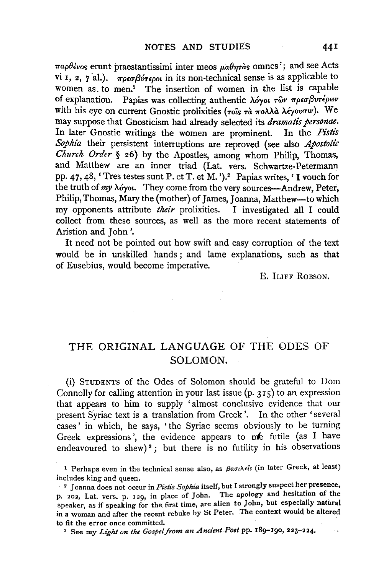*παρθένος* erunt praestantissimi inter meos μαθητὰς omnes'; and see Acts vi I, 2, 7 al.).  $\pi \rho \epsilon \sigma \beta \dot{\nu} \tau \epsilon \rho \partial \nu$  in its non-technical sense is as applicable to women as. to men.<sup>1</sup> The insertion of women in the list is capable of explanation. Papias was collecting authentic λόγοι των πρεσβυτέρων with his eye on current Gnostic prolixities (τοίς τα πολλά λέγουσιν). We may suppose that Gnosticism had already selected its *dramatis personae.*  In later Gnostic writings the women are prominent. In the *Pistis Sophia* their persistent interruptions are reproved (see also *Apostolic Church Order* § 26) by the Apostles, among whom Philip, Thomas, and Matthew are an inner triad (Lat. vers. Schwartze-Petermann pp. 47, 48, 'Tres testes sunt P. et T. et M. ').2 Papias writes,' I vouch for the truth of *my A6yot.* They come from the very sources-Andrew, Peter, Philip, Thomas, Mary the (mother) of James, Joanna, Matthew-to which my opponents attribute *their* prolixities. I investigated all I could collect from these sources, as well as the more recent statements of Aristion and John '.

It need not be pointed out how swift and easy corruption of the text would be in unskilled hands ; and lame explanations, such as that of Eusebius, would become imperative.

E. ILIFF ROBSON.

### THE ORIGINAL LANGUAGE OF THE ODES OF SOLOMON.

(i) STUDENTS of the Odes of Solomon should be grateful to Dom Connolly for calling attention in your last issue  $(p, 315)$  to an expression that appears to him to supply 'almost conclusive evidence that our present Syriac text is a translation from Greek'. In the other 'several cases' in which, he says, 'the Syriac seems obviously to be turning Greek expressions', the evidence appears to me futile (as I have endeavoured to shew)<sup>3</sup>; but there is no futility in his observations

<sup>1</sup> Perhaps even in the technical sense also, as  $\beta a\sigma\iota\lambda\epsilon\hat{\iota}s$  (in later Greek, at least)

includes king and queen.<br><sup>2</sup> Joanna does not occur in *Pistis Sophia* itself, but I strongly suspect her presence, p. 202, Lat. vers. p. 129, in place of John. The apology and hesitation of the speaker, as if speaking for the first time, are alien to John, but especially natural in a woman and after the recent rebuke by St Peter. The context would be altered

to fit the error once committed.<br><sup>3</sup> See my *Light on the Gospel from an Ancient Poet* pp. 189-190, 223-224.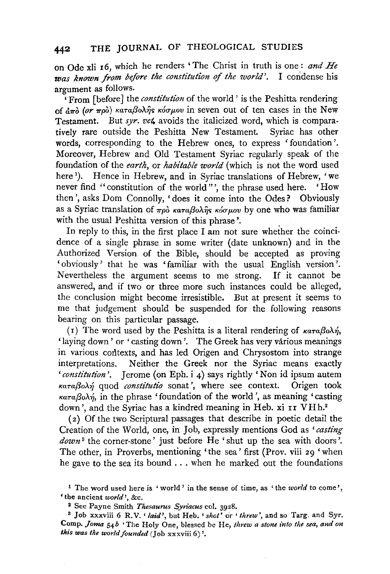on Ode xli r6, which he renders 'The Christ in truth is one.: *and He was known from before the constitutlon* of *the world'.* I condense his argument as follows.

'From [before J the *constitution* of the world' is the Peshitta rendering of  $d\pi\hat{\phi}$  (or  $\pi\rho\hat{\phi}$ ) καταβολής κόσμου in seven out of ten cases in the New Testament. But *syr. vet.* avoids the italicized word, which is comparatively rare outside the Peshitta New Testament. Syriac has other words, corresponding to the Hebrew ones, to express 'foundation'. Moreover, Hebrew and Old Testament Syriac regularly speak of the foundation of the *earth,* or *habitable world* (which is not the word used ere<sup>1</sup>). Hence in Hebrew, and in Syriac translations of Hebrew, 'we never find "constitution of the world"', the phrase used here. 'How then', asks Dom Connolly, 'does it come into the Odes? Obviously as a Syriac translation of  $\pi \rho \delta$   $\kappa \alpha \tau a \beta o \lambda \hat{\eta} s$  *kóg wov* by one who was familiar with the usual Peshitta version of this phrase'.

In reply to this, in the first place I am not sure whether the coincidence of a single phrase in some writer (date unknown) and in the Authorized Version of the Bible, should be accepted as proving 'obviously' that he was 'familiar with the usual English version'. Nevertheless the argument seems to me strong. If it cannot be answered, and if two or three more such instances could be alleged, the conclusion might become irresistible. But at present it seems to me that judgement should be suspended for the following reasons bearing on this particular passage.

(1) The word used by the Peshitta is a literal rendering of  $\kappa a \tau a \beta o \lambda \eta$ , 'laying down' or 'casting down'. The Greek has very various meanings in various contexts, and has led Origen and Chrysostom into strange interpretations. Neither the Greek nor the Syriac means exactly *'constitution'.* Jerome (on Eph. i 4) says rightly 'Non id ipsum autem Ka-raf3oA.~ quod *constitutio* sonat ', where see context. Origen took  $\kappa a\tau a\beta o\lambda\eta$ , in the phrase 'foundation of the world', as meaning 'casting down', and the Syriac has a kindred meaning in Heb. xi rr VHh.2

( 2) Of the two Scriptural passages that describe in poetic detail the Creation of the World, one, in Job, expressly mentions God as *'casting downs* the corner-stone' just before He 'shut up the sea with doors'. The other, in Proverbs, mentioning 'the sea' first (Prov. viii 29 'when he gave to the sea its bound ... when he marked out the foundations

<sup>1</sup> The word used here is 'world ' in the sense of time, as 'the *world* to come', 'the ancient *world',* &c. 2 See Payne Smith *Thesa1trus Syriacus* col. 3928. 3 Job xxxviii 6 R. V. ' *laid',* but He b. *'shot'* or ' *threw',* and so Targ. and Syr.

Comp. *Joma 54b* 'The Holy One, blessed be He, *threw a stone into the sea, and on this was the world founded* (Job xxxviii 6) '·